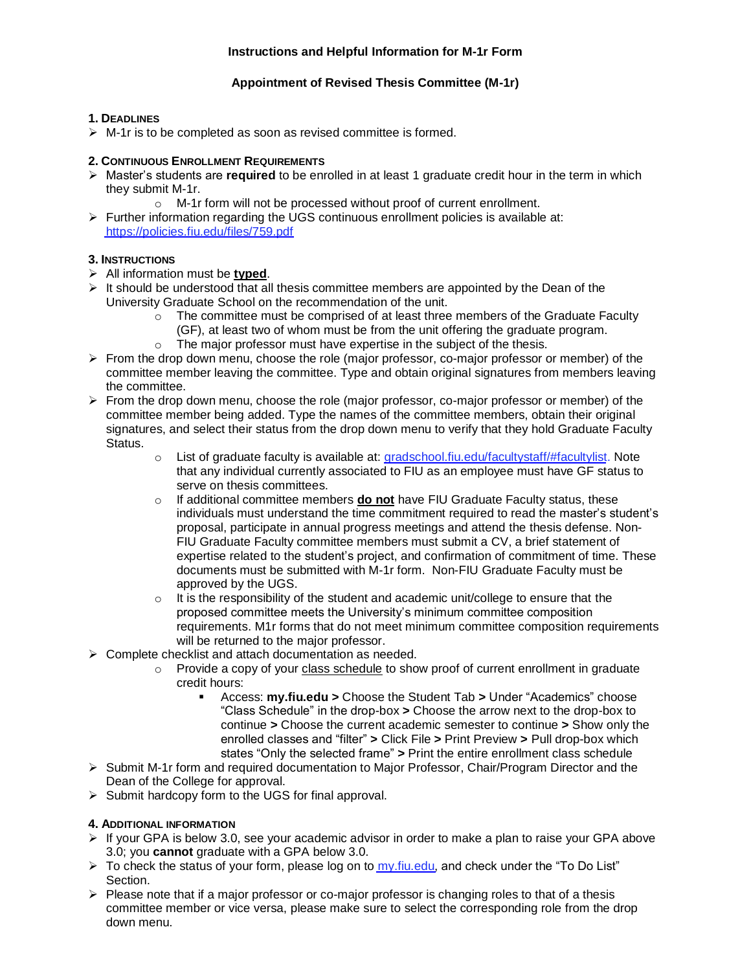## **Appointment of Revised Thesis Committee (M-1r)**

## **1. DEADLINES**

 $\triangleright$  M-1r is to be completed as soon as revised committee is formed.

#### **2. CONTINUOUS ENROLLMENT REQUIREMENTS**

- ➢ Master's students are **required** to be enrolled in at least 1 graduate credit hour in the term in which they submit M-1r.
	- o M-1r form will not be processed without proof of current enrollment.
- $\triangleright$  Further information regarding the UGS continuous enrollment policies is available at: <https://policies.fiu.edu/files/759.pdf>

# **3. INSTRUCTIONS**

- ➢ All information must be **typed**.
- $\triangleright$  It should be understood that all thesis committee members are appointed by the Dean of the University Graduate School on the recommendation of the unit.
	- $\circ$  The committee must be comprised of at least three members of the Graduate Faculty (GF), at least two of whom must be from the unit offering the graduate program.
	- o The major professor must have expertise in the subject of the thesis.
- ➢ From the drop down menu, choose the role (major professor, co-major professor or member) of the committee member leaving the committee. Type and obtain original signatures from members leaving the committee.
- $\triangleright$  From the drop down menu, choose the role (major professor, co-major professor or member) of the committee member being added. Type the names of the committee members, obtain their original signatures, and select their status from the drop down menu to verify that they hold Graduate Faculty Status.
	- $\circ$  List of graduate faculty is available at:<gradschool.fiu.edu/facultystaff/#facultylist>. Note that any individual currently associated to FIU as an employee must have GF status to serve on thesis committees.
	- o If additional committee members **do not** have FIU Graduate Faculty status, these individuals must understand the time commitment required to read the master's student's proposal, participate in annual progress meetings and attend the thesis defense. Non-FIU Graduate Faculty committee members must submit a CV, a brief statement of expertise related to the student's project, and confirmation of commitment of time. These documents must be submitted with M-1r form. Non-FIU Graduate Faculty must be approved by the UGS.
	- $\circ$  It is the responsibility of the student and academic unit/college to ensure that the proposed committee meets the University's minimum committee composition requirements. M1r forms that do not meet minimum committee composition requirements will be returned to the major professor.
- ➢ Complete checklist and attach documentation as needed.
	- $\circ$  Provide a copy of your class schedule to show proof of current enrollment in graduate credit hours:
		- Access: **my.fiu.edu >** Choose the Student Tab **>** Under "Academics" choose "Class Schedule" in the drop-box **>** Choose the arrow next to the drop-box to continue **>** Choose the current academic semester to continue **>** Show only the enrolled classes and "filter" **>** Click File **>** Print Preview **>** Pull drop-box which states "Only the selected frame" **>** Print the entire enrollment class schedule
- ➢ Submit M-1r form and required documentation to Major Professor, Chair/Program Director and the Dean of the College for approval.
- ➢ Submit hardcopy form to the UGS for final approval.

# **4. ADDITIONAL INFORMATION**

- $\triangleright$  If your GPA is below 3.0, see your academic advisor in order to make a plan to raise your GPA above 3.0; you **cannot** graduate with a GPA below 3.0.
- $\triangleright$  To check the status of your form, please log on to [my.fiu.edu,](my.fiu.edu) and check under the "To Do List" Section.
- $\triangleright$  Please note that if a major professor or co-major professor is changing roles to that of a thesis committee member or vice versa, please make sure to select the corresponding role from the drop down menu.